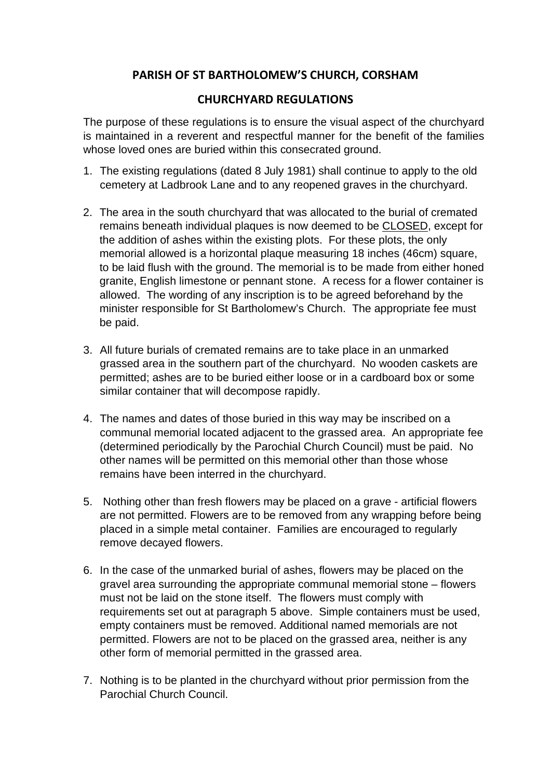## **PARISH OF ST BARTHOLOMEW'S CHURCH, CORSHAM**

## **CHURCHYARD REGULATIONS**

The purpose of these regulations is to ensure the visual aspect of the churchyard is maintained in a reverent and respectful manner for the benefit of the families whose loved ones are buried within this consecrated ground.

- 1. The existing regulations (dated 8 July 1981) shall continue to apply to the old cemetery at Ladbrook Lane and to any reopened graves in the churchyard.
- 2. The area in the south churchyard that was allocated to the burial of cremated remains beneath individual plaques is now deemed to be CLOSED, except for the addition of ashes within the existing plots. For these plots, the only memorial allowed is a horizontal plaque measuring 18 inches (46cm) square, to be laid flush with the ground. The memorial is to be made from either honed granite, English limestone or pennant stone. A recess for a flower container is allowed. The wording of any inscription is to be agreed beforehand by the minister responsible for St Bartholomew's Church. The appropriate fee must be paid.
- 3. All future burials of cremated remains are to take place in an unmarked grassed area in the southern part of the churchyard. No wooden caskets are permitted; ashes are to be buried either loose or in a cardboard box or some similar container that will decompose rapidly.
- 4. The names and dates of those buried in this way may be inscribed on a communal memorial located adjacent to the grassed area. An appropriate fee (determined periodically by the Parochial Church Council) must be paid. No other names will be permitted on this memorial other than those whose remains have been interred in the churchyard.
- 5. Nothing other than fresh flowers may be placed on a grave artificial flowers are not permitted. Flowers are to be removed from any wrapping before being placed in a simple metal container. Families are encouraged to regularly remove decayed flowers.
- 6. In the case of the unmarked burial of ashes, flowers may be placed on the gravel area surrounding the appropriate communal memorial stone – flowers must not be laid on the stone itself. The flowers must comply with requirements set out at paragraph 5 above. Simple containers must be used, empty containers must be removed. Additional named memorials are not permitted. Flowers are not to be placed on the grassed area, neither is any other form of memorial permitted in the grassed area.
- 7. Nothing is to be planted in the churchyard without prior permission from the Parochial Church Council.